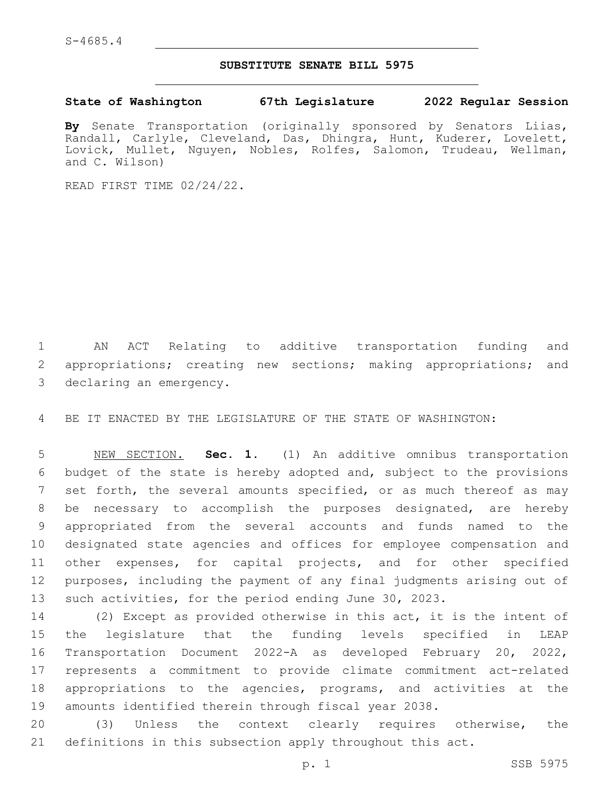# **SUBSTITUTE SENATE BILL 5975**

#### **State of Washington 67th Legislature 2022 Regular Session**

**By** Senate Transportation (originally sponsored by Senators Liias, Randall, Carlyle, Cleveland, Das, Dhingra, Hunt, Kuderer, Lovelett, Lovick, Mullet, Nguyen, Nobles, Rolfes, Salomon, Trudeau, Wellman, and C. Wilson)

READ FIRST TIME 02/24/22.

 AN ACT Relating to additive transportation funding and appropriations; creating new sections; making appropriations; and 3 declaring an emergency.

BE IT ENACTED BY THE LEGISLATURE OF THE STATE OF WASHINGTON:

 NEW SECTION. **Sec. 1.** (1) An additive omnibus transportation budget of the state is hereby adopted and, subject to the provisions 7 set forth, the several amounts specified, or as much thereof as may be necessary to accomplish the purposes designated, are hereby appropriated from the several accounts and funds named to the designated state agencies and offices for employee compensation and other expenses, for capital projects, and for other specified purposes, including the payment of any final judgments arising out of such activities, for the period ending June 30, 2023.

 (2) Except as provided otherwise in this act, it is the intent of the legislature that the funding levels specified in LEAP Transportation Document 2022-A as developed February 20, 2022, represents a commitment to provide climate commitment act-related appropriations to the agencies, programs, and activities at the amounts identified therein through fiscal year 2038.

 (3) Unless the context clearly requires otherwise, the definitions in this subsection apply throughout this act.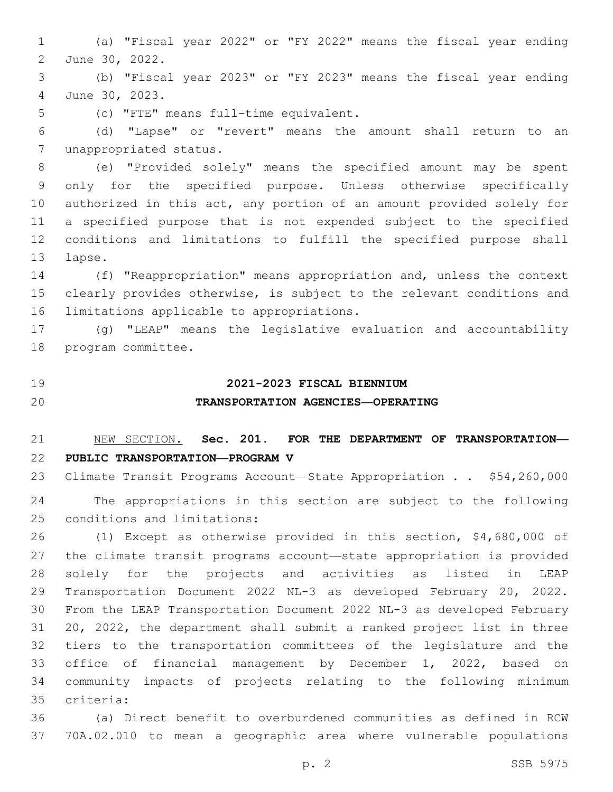(a) "Fiscal year 2022" or "FY 2022" means the fiscal year ending 2 June 30, 2022.

 (b) "Fiscal year 2023" or "FY 2023" means the fiscal year ending June 30, 2023.4

5 (c) "FTE" means full-time equivalent.

 (d) "Lapse" or "revert" means the amount shall return to an 7 unappropriated status.

 (e) "Provided solely" means the specified amount may be spent only for the specified purpose. Unless otherwise specifically authorized in this act, any portion of an amount provided solely for a specified purpose that is not expended subject to the specified conditions and limitations to fulfill the specified purpose shall 13 lapse.

 (f) "Reappropriation" means appropriation and, unless the context clearly provides otherwise, is subject to the relevant conditions and 16 limitations applicable to appropriations.

 (g) "LEAP" means the legislative evaluation and accountability 18 program committee.

### **2021-2023 FISCAL BIENNIUM**

# **TRANSPORTATION AGENCIES—OPERATING**

# NEW SECTION. **Sec. 201. FOR THE DEPARTMENT OF TRANSPORTATION— PUBLIC TRANSPORTATION—PROGRAM V**

 Climate Transit Programs Account—State Appropriation . . \$54,260,000 The appropriations in this section are subject to the following 25 conditions and limitations:

 (1) Except as otherwise provided in this section, \$4,680,000 of the climate transit programs account—state appropriation is provided solely for the projects and activities as listed in LEAP Transportation Document 2022 NL-3 as developed February 20, 2022. From the LEAP Transportation Document 2022 NL-3 as developed February 20, 2022, the department shall submit a ranked project list in three tiers to the transportation committees of the legislature and the office of financial management by December 1, 2022, based on community impacts of projects relating to the following minimum criteria:35

 (a) Direct benefit to overburdened communities as defined in RCW 70A.02.010 to mean a geographic area where vulnerable populations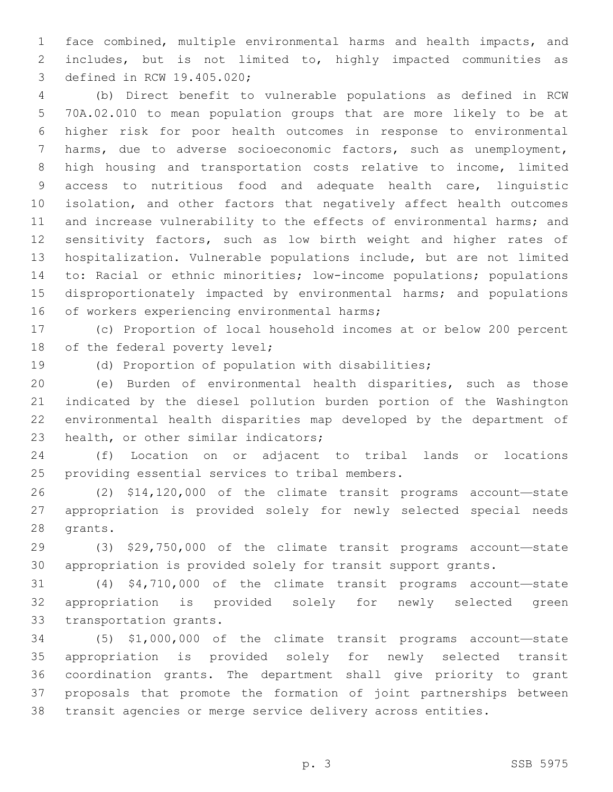face combined, multiple environmental harms and health impacts, and includes, but is not limited to, highly impacted communities as 3 defined in RCW 19.405.020;

 (b) Direct benefit to vulnerable populations as defined in RCW 70A.02.010 to mean population groups that are more likely to be at higher risk for poor health outcomes in response to environmental harms, due to adverse socioeconomic factors, such as unemployment, high housing and transportation costs relative to income, limited access to nutritious food and adequate health care, linguistic isolation, and other factors that negatively affect health outcomes 11 and increase vulnerability to the effects of environmental harms; and sensitivity factors, such as low birth weight and higher rates of hospitalization. Vulnerable populations include, but are not limited to: Racial or ethnic minorities; low-income populations; populations disproportionately impacted by environmental harms; and populations 16 of workers experiencing environmental harms;

 (c) Proportion of local household incomes at or below 200 percent 18 of the federal poverty level;

(d) Proportion of population with disabilities;

 (e) Burden of environmental health disparities, such as those indicated by the diesel pollution burden portion of the Washington environmental health disparities map developed by the department of 23 health, or other similar indicators;

 (f) Location on or adjacent to tribal lands or locations 25 providing essential services to tribal members.

 (2) \$14,120,000 of the climate transit programs account—state appropriation is provided solely for newly selected special needs 28 grants.

 (3) \$29,750,000 of the climate transit programs account—state appropriation is provided solely for transit support grants.

 (4) \$4,710,000 of the climate transit programs account—state appropriation is provided solely for newly selected green 33 transportation grants.

 (5) \$1,000,000 of the climate transit programs account—state appropriation is provided solely for newly selected transit coordination grants. The department shall give priority to grant proposals that promote the formation of joint partnerships between transit agencies or merge service delivery across entities.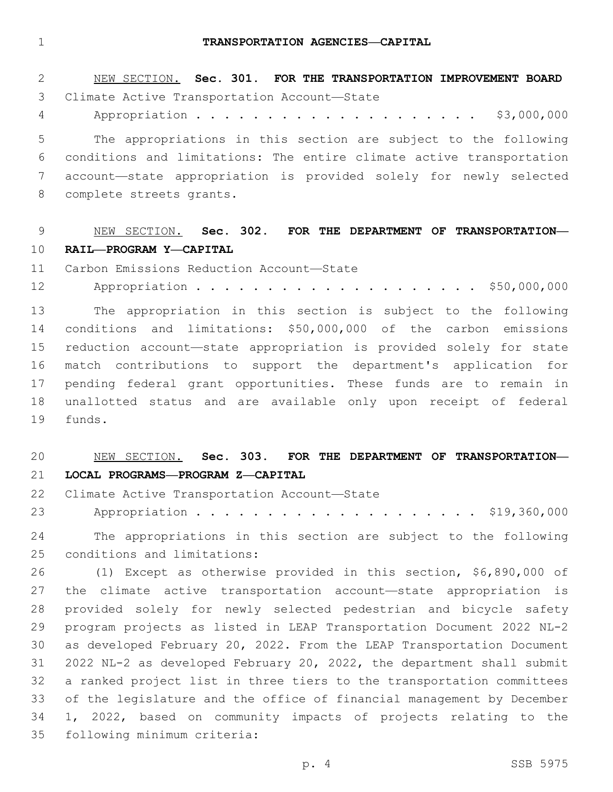#### **TRANSPORTATION AGENCIES—CAPITAL**

NEW SECTION. **Sec. 301. FOR THE TRANSPORTATION IMPROVEMENT BOARD**

| ٧ |     |  |
|---|-----|--|
|   | . . |  |

| ∠  | NEW SECTION. SEC. JUI. FOR INE IRANSPORIATION IMPROVEMENT BOARD      |
|----|----------------------------------------------------------------------|
| 3  | Climate Active Transportation Account-State                          |
| 4  | \$3,000,000                                                          |
| 5  | The appropriations in this section are subject to the following      |
| 6  | conditions and limitations: The entire climate active transportation |
| 7  | account-state appropriation is provided solely for newly selected    |
| 8  | complete streets grants.                                             |
|    |                                                                      |
| 9  | NEW SECTION. Sec. 302. FOR THE DEPARTMENT OF TRANSPORTATION-         |
| 10 | RAIL-PROGRAM Y-CAPITAL                                               |
| 11 | Carbon Emissions Reduction Account-State                             |
| 12 |                                                                      |
| 13 | The appropriation in this section is subject to the following        |
| 14 | conditions and limitations: \$50,000,000 of the carbon emissions     |
| 15 | reduction account-state appropriation is provided solely for state   |
| 16 | match contributions to support the department's application for      |
| 17 | pending federal grant opportunities. These funds are to remain in    |
| 18 | unallotted status and are available only upon receipt of federal     |
| 19 | funds.                                                               |

# NEW SECTION. **Sec. 303. FOR THE DEPARTMENT OF TRANSPORTATION— LOCAL PROGRAMS—PROGRAM Z—CAPITAL**

22 Climate Active Transportation Account-State

23 Appropriation . . . . . . . . . . . . . . . . . . \$19,360,000

 The appropriations in this section are subject to the following 25 conditions and limitations:

 (1) Except as otherwise provided in this section, \$6,890,000 of the climate active transportation account—state appropriation is provided solely for newly selected pedestrian and bicycle safety program projects as listed in LEAP Transportation Document 2022 NL-2 as developed February 20, 2022. From the LEAP Transportation Document 2022 NL-2 as developed February 20, 2022, the department shall submit a ranked project list in three tiers to the transportation committees of the legislature and the office of financial management by December 1, 2022, based on community impacts of projects relating to the 35 following minimum criteria: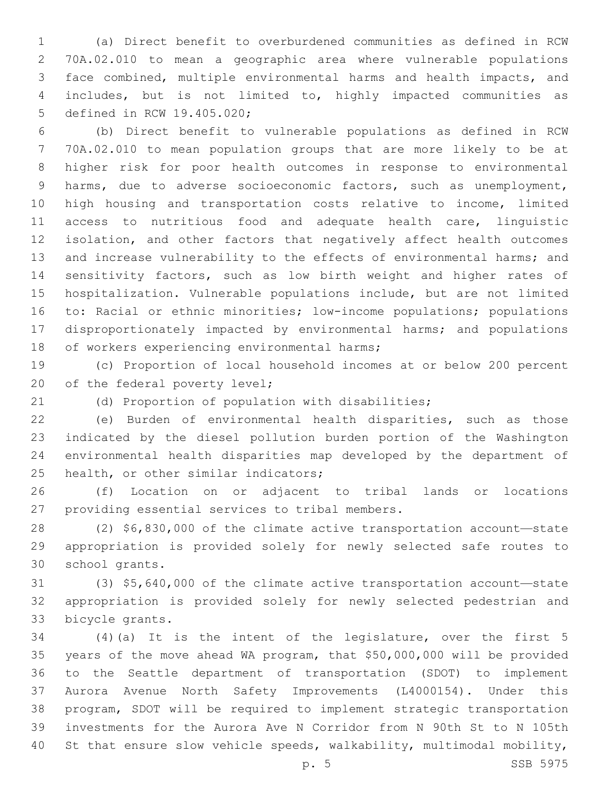(a) Direct benefit to overburdened communities as defined in RCW 70A.02.010 to mean a geographic area where vulnerable populations face combined, multiple environmental harms and health impacts, and includes, but is not limited to, highly impacted communities as 5 defined in RCW 19.405.020;

 (b) Direct benefit to vulnerable populations as defined in RCW 70A.02.010 to mean population groups that are more likely to be at higher risk for poor health outcomes in response to environmental harms, due to adverse socioeconomic factors, such as unemployment, high housing and transportation costs relative to income, limited access to nutritious food and adequate health care, linguistic isolation, and other factors that negatively affect health outcomes and increase vulnerability to the effects of environmental harms; and sensitivity factors, such as low birth weight and higher rates of hospitalization. Vulnerable populations include, but are not limited to: Racial or ethnic minorities; low-income populations; populations disproportionately impacted by environmental harms; and populations 18 of workers experiencing environmental harms;

 (c) Proportion of local household incomes at or below 200 percent 20 of the federal poverty level;

(d) Proportion of population with disabilities;

 (e) Burden of environmental health disparities, such as those indicated by the diesel pollution burden portion of the Washington environmental health disparities map developed by the department of 25 health, or other similar indicators;

 (f) Location on or adjacent to tribal lands or locations 27 providing essential services to tribal members.

 (2) \$6,830,000 of the climate active transportation account—state appropriation is provided solely for newly selected safe routes to 30 school grants.

 (3) \$5,640,000 of the climate active transportation account—state appropriation is provided solely for newly selected pedestrian and 33 bicycle grants.

 (4)(a) It is the intent of the legislature, over the first 5 years of the move ahead WA program, that \$50,000,000 will be provided to the Seattle department of transportation (SDOT) to implement Aurora Avenue North Safety Improvements (L4000154). Under this program, SDOT will be required to implement strategic transportation investments for the Aurora Ave N Corridor from N 90th St to N 105th St that ensure slow vehicle speeds, walkability, multimodal mobility,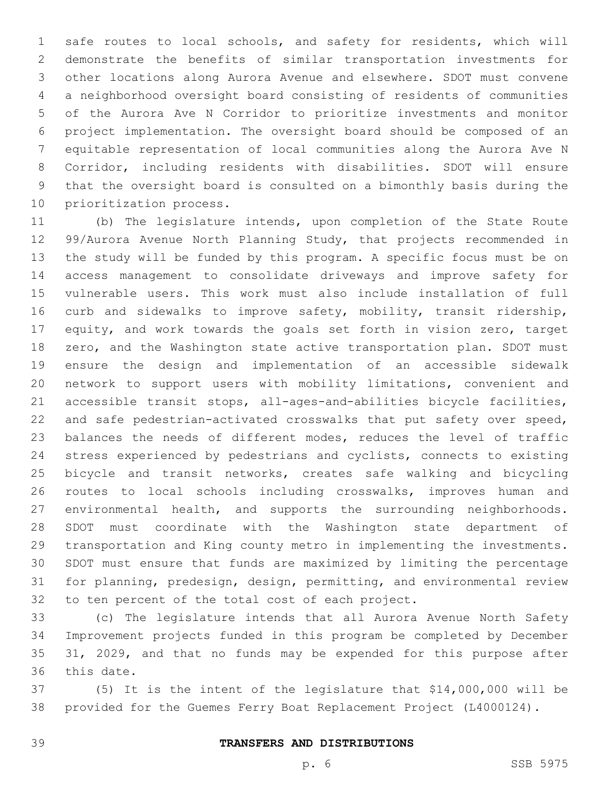safe routes to local schools, and safety for residents, which will demonstrate the benefits of similar transportation investments for other locations along Aurora Avenue and elsewhere. SDOT must convene a neighborhood oversight board consisting of residents of communities of the Aurora Ave N Corridor to prioritize investments and monitor project implementation. The oversight board should be composed of an equitable representation of local communities along the Aurora Ave N Corridor, including residents with disabilities. SDOT will ensure that the oversight board is consulted on a bimonthly basis during the 10 prioritization process.

 (b) The legislature intends, upon completion of the State Route 99/Aurora Avenue North Planning Study, that projects recommended in the study will be funded by this program. A specific focus must be on access management to consolidate driveways and improve safety for vulnerable users. This work must also include installation of full curb and sidewalks to improve safety, mobility, transit ridership, 17 equity, and work towards the goals set forth in vision zero, target zero, and the Washington state active transportation plan. SDOT must ensure the design and implementation of an accessible sidewalk network to support users with mobility limitations, convenient and accessible transit stops, all-ages-and-abilities bicycle facilities, and safe pedestrian-activated crosswalks that put safety over speed, balances the needs of different modes, reduces the level of traffic stress experienced by pedestrians and cyclists, connects to existing bicycle and transit networks, creates safe walking and bicycling routes to local schools including crosswalks, improves human and environmental health, and supports the surrounding neighborhoods. SDOT must coordinate with the Washington state department of transportation and King county metro in implementing the investments. SDOT must ensure that funds are maximized by limiting the percentage for planning, predesign, design, permitting, and environmental review 32 to ten percent of the total cost of each project.

 (c) The legislature intends that all Aurora Avenue North Safety Improvement projects funded in this program be completed by December 35 31, 2029, and that no funds may be expended for this purpose after 36 this date.

 (5) It is the intent of the legislature that \$14,000,000 will be provided for the Guemes Ferry Boat Replacement Project (L4000124).

# **TRANSFERS AND DISTRIBUTIONS**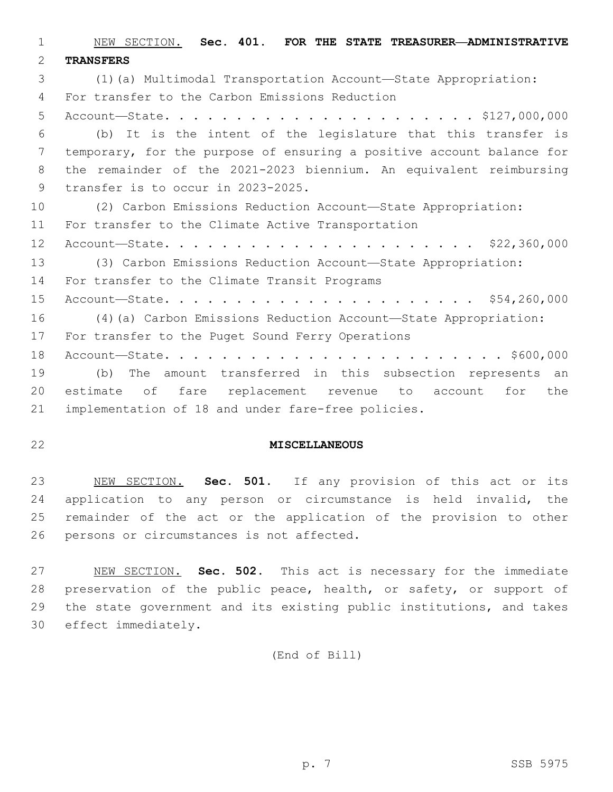NEW SECTION. **Sec. 401. FOR THE STATE TREASURER—ADMINISTRATIVE TRANSFERS** (1)(a) Multimodal Transportation Account—State Appropriation: For transfer to the Carbon Emissions Reduction4 Account—State. . . . . . . . . . . . . . . . . . . . . . \$127,000,000 (b) It is the intent of the legislature that this transfer is temporary, for the purpose of ensuring a positive account balance for the remainder of the 2021-2023 biennium. An equivalent reimbursing 9 transfer is to occur in 2023-2025. (2) Carbon Emissions Reduction Account—State Appropriation: 11 For transfer to the Climate Active Transportation Account—State. . . . . . . . . . . . . . . . . . . . . . \$22,360,000 (3) Carbon Emissions Reduction Account—State Appropriation: 14 For transfer to the Climate Transit Programs Account—State. . . . . . . . . . . . . . . . . . . . . . \$54,260,000 (4)(a) Carbon Emissions Reduction Account—State Appropriation: 17 For transfer to the Puget Sound Ferry Operations Account—State. . . . . . . . . . . . . . . . . . . . . . . . \$600,000 (b) The amount transferred in this subsection represents an estimate of fare replacement revenue to account for the implementation of 18 and under fare-free policies.

# **MISCELLANEOUS**

 NEW SECTION. **Sec. 501.** If any provision of this act or its application to any person or circumstance is held invalid, the remainder of the act or the application of the provision to other persons or circumstances is not affected.

 NEW SECTION. **Sec. 502.** This act is necessary for the immediate 28 preservation of the public peace, health, or safety, or support of the state government and its existing public institutions, and takes effect immediately.

(End of Bill)